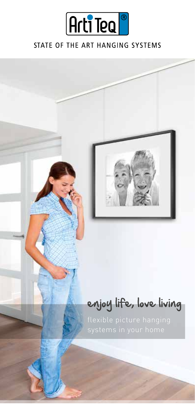

### STATE OF THE ART HANGING SYSTEMS

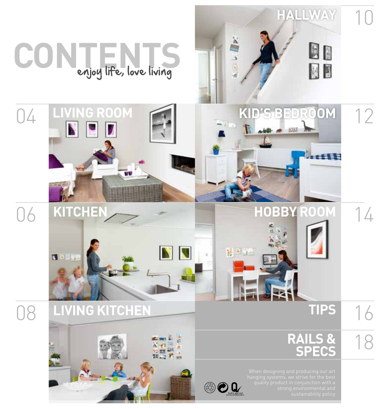

# **CONTENTS** enjoy life, love living





18 **RAILS & SPECS**

**OQ** 

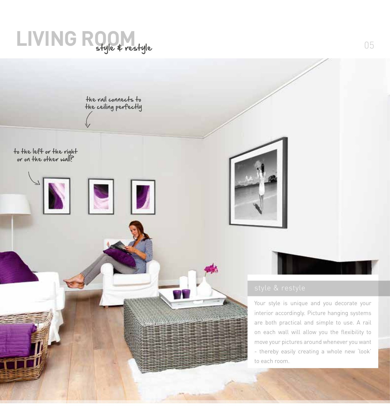## LIVING ROOM

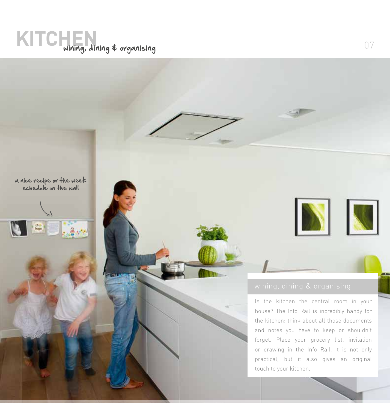## **KITCHEN** wining, dining \$ organising





Is the kitchen the central room in your house? The Info Rail is incredibly handy for the kitchen: think about all those documents and notes you have to keep or shouldn't forget. Place your grocery list, invitation or drawing in the Info Rail. It is not only practical, but it also gives an original touch to your kitchen.

NN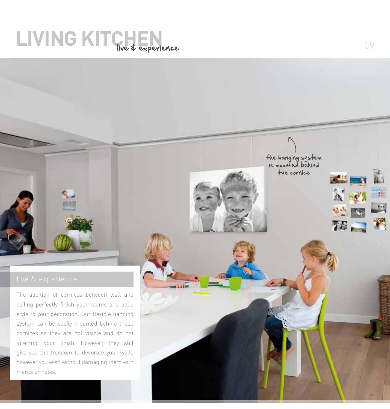## LIVING KITCHEN 199

The addition of cornices between wall and ceiling perfectly finish your rooms and adds style to your decoration. Our flexible hanging system can be easily mounted behind these cornices so they are not visible and do not interrupt your finish. However, they still give you the freedom to decorate your walls however you wish without damaging them with marks or holes.

the hanging system is mounted behind the cornice



 $\mathbf{a}'$ 

大学 一番

第三界

 $\mathbb{E}$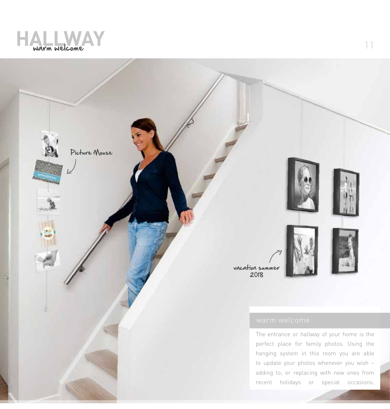

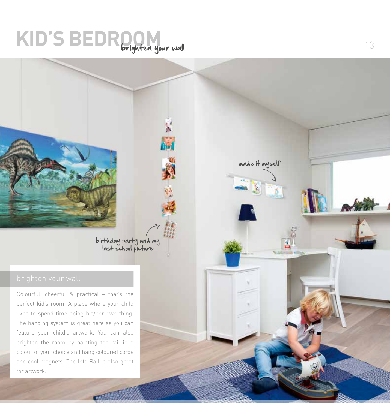## **KID'S BEDROOM** brighten your wall

birthday party and my last school picture

Colourful, cheerful & practical – that's the perfect kid's room. A place where your child likes to spend time doing his/her own thing. The hanging system is great here as you can feature your child's artwork. You can also brighten the room by painting the rail in a colour of your choice and hang coloured cords and cool magnets. The Info Rail is also great for artwork.

made it myself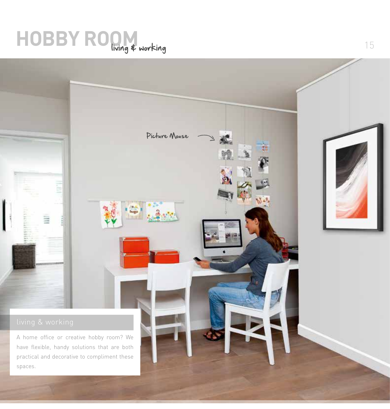## **HOBBY ROOM** working 15

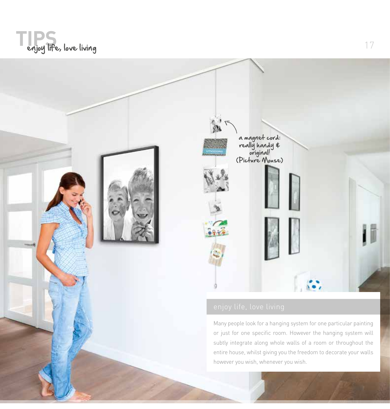

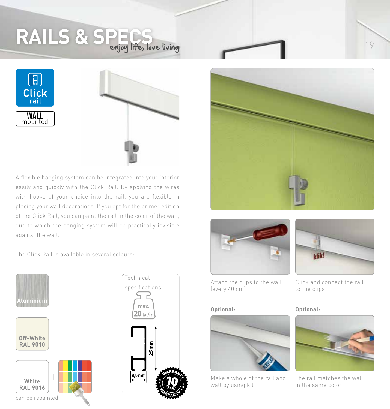## **RAILS & SPECS** enjoy life, love living





A flexible hanging system can be integrated into your interior easily and quickly with the Click Rail. By applying the wires with hooks of your choice into the rail, you are flexible in placing your wall decorations. If you opt for the primer edition of the Click Rail, you can paint the rail in the color of the wall, due to which the hanging system will be practically invisible against the wall.

The Click Rail is available in several colours:















Click and connect the rail

Attach the clips to the wall (every 40 cm)



Make a whole of the rail and wall by using kit

**Optional: Optional:**

to the clips



The rail matches the wall in the same color

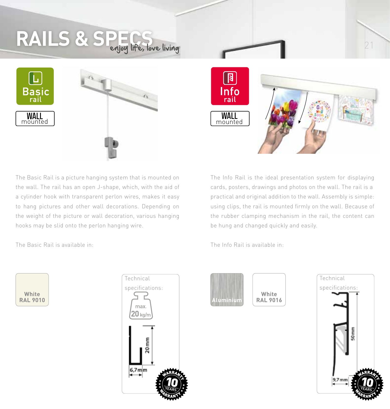# RAILS & SPECS fore living 21







The Basic Rail is a picture hanging system that is mounted on the wall. The rail has an open J-shape, which, with the aid of a cylinder hook with transparent perlon wires, makes it easy to hang pictures and other wall decorations. Depending on the weight of the picture or wall decoration, various hanging hooks may be slid onto the perlon hanging wire.

The Basic Rail is available in:

| White           |  |
|-----------------|--|
| <b>RAL 9010</b> |  |



The Info Rail is the ideal presentation system for displaying cards, posters, drawings and photos on the wall. The rail is a practical and original addition to the wall. Assembly is simple: using clips, the rail is mounted firmly on the wall. Because of the rubber clamping mechanism in the rail, the content can be hung and changed quickly and easily.

The Info Rail is available in:



**White RAL 9016**

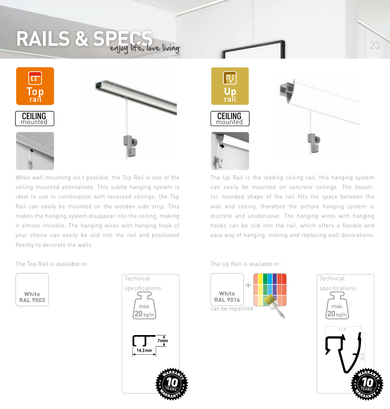# RAILS & SPECS love living





When wall mounting isn't possible, the Top Rail is one of the ceiling mounted alternatives. This subtle hanging system is ideal to use in combination with recessed ceilings: the Top Rail can easily be mounted on the wooden side strip. This makes the hanging system disappear into the ceiling, making it almost invisible. The hanging wires with hanging hook of your choice can easily be slid into the rail and positioned flexibly to decorate the walls.

The Top Rail is available in:

| White           |
|-----------------|
| <b>RAL 9003</b> |





The Up Rail is the leading ceiling rail; this hanging system can easily be mounted on concrete ceilings. The beautiful, rounded shape of the rail fills the space between the wall and ceiling, therefore the picture hanging system is discrete and unobtrusive. The hanging wires with hanging hooks can be slid into the rail, which offers a flexible and easy way of hanging, moving and replacing wall decorations.







23